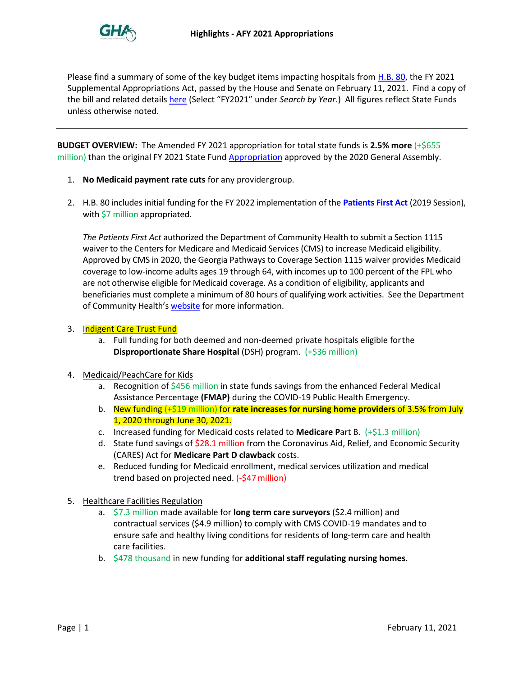

Please find a summary of some of the key budget items impacting hospitals from **H.B. 80**, the FY 2021 Supplemental Appropriations Act, passed by the House and Senate on February 11, 2021. Find a copy of the bill and related details [here](https://www.legis.ga.gov/house/budget-research-office) (Select "FY2021" under *Search by Year*.) All figures reflect State Funds unless otherwise noted.

**BUDGET OVERVIEW:** The Amended FY 2021 appropriation for total state funds is **2.5% more** (+\$655 million) than the original FY 2021 State Fund [Appropriation](https://www.legis.ga.gov/api/document/docs/default-source/house-budget-and-research-office-document-library/fy-2021-bill-conference-committee-(hb-793).pdf?sfvrsn=df985f49_2) approved by the 2020 General Assembly.

- 1. **No Medicaid payment rate cuts** for any providergroup.
- 2. H.B. 80 includes initial funding for the FY 2022 implementation of the **[Patients First Act](https://www.legis.ga.gov/legislation/54962)** (2019 Session), with \$7 million appropriated.

*The Patients First Act* authorized the Department of Community Health to submit a Section 1115 waiver to the Centers for Medicare and Medicaid Services (CMS) to increase Medicaid eligibility. Approved by CMS in 2020, the Georgia Pathways to Coverage Section 1115 waiver provides Medicaid coverage to low-income adults ages 19 through 64, with incomes up to 100 percent of the FPL who are not otherwise eligible for Medicaid coverage. As a condition of eligibility, applicants and beneficiaries must complete a minimum of 80 hours of qualifying work activities. See the Department of Community Health's [website](https://medicaid.georgia.gov/patientsfirst) for more information.

## 3. Indigent Care Trust Fund

a. Full funding for both deemed and non-deemed private hospitals eligible forthe **Disproportionate Share Hospital** (DSH) program. (+\$36 million)

## 4. Medicaid/PeachCare for Kids

- a. Recognition of \$456 million in state funds savings from the enhanced Federal Medical Assistance Percentage **(FMAP)** during the COVID-19 Public Health Emergency.
- b. New funding (+\$19 million) for **rate increases for nursing home providers** of 3.5% from July 1, 2020 through June 30, 2021.
- c. Increased funding for Medicaid costs related to **Medicare P**art B. (+\$1.3 million)
- d. State fund savings of \$28.1 million from the Coronavirus Aid, Relief, and Economic Security (CARES) Act for **Medicare Part D clawback** costs.
- e. Reduced funding for Medicaid enrollment, medical services utilization and medical trend based on projected need. (-\$47million)
- 5. Healthcare Facilities Regulation
	- a. \$7.3 million made available for **long term care surveyors** (\$2.4 million) and contractual services (\$4.9 million) to comply with CMS COVID-19 mandates and to ensure safe and healthy living conditions for residents of long-term care and health care facilities.
	- b. \$478 thousand in new funding for **additional staff regulating nursing homes**.